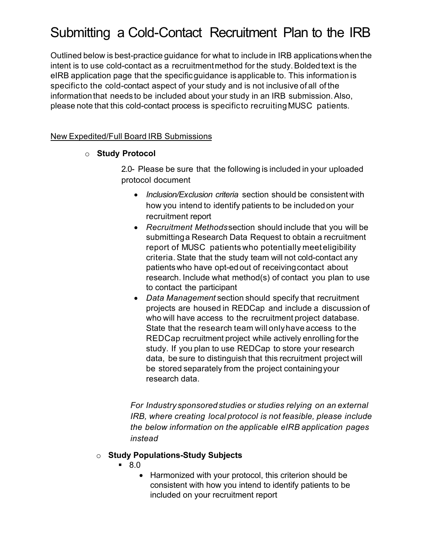# Submitting a Cold-Contact Recruitment Plan to the IRB

Outlined below is best-practice guidance for what to include in IRB applicationswhen the intent is to use cold-contact as a recruitment method for the study. Bolded text is the eIRB application page that the specificguidance isapplicable to. This information is specificto the cold-contact aspect of your study and is not inclusive of all of the information that needs to be included about your study in an IRB submission.Also, please note that this cold-contact process is specificto recruiting MUSC patients.

#### New Expedited/Full Board IRB Submissions

#### o **Study Protocol**

2.0- Please be sure that the following is included in your uploaded protocol document

- *Inclusion/Exclusion criteria* section should be consistent with how you intend to identify patients to be included on your recruitment report
- *Recruitment Methods*section should include that you will be submittinga Research Data Request to obtain a recruitment report of MUSC patients who potentially meet eligibility criteria. State that the study team will not cold-contact any patientswho have opt-ed out of receivingcontact about research. Include what method(s) of contact you plan to use to contact the participant
- *Data Management* section should specify that recruitment projects are housed in REDCap and include a discussion of who will have access to the recruitment project database. State that the research team will onlyhave access to the REDCap recruitment project while actively enrolling forthe study. If you plan to use REDCap to store your research data, be sure to distinguish that this recruitment project will be stored separately from the project containingyour research data.

*For Industry sponsored studies or studies relying on an external IRB, where creating local protocol is not feasible, please include the below information on the applicable eIRB application pages instead*

#### o **Study Populations-Study Subjects**

- 8.0
	- Harmonized with your protocol, this criterion should be consistent with how you intend to identify patients to be included on your recruitment report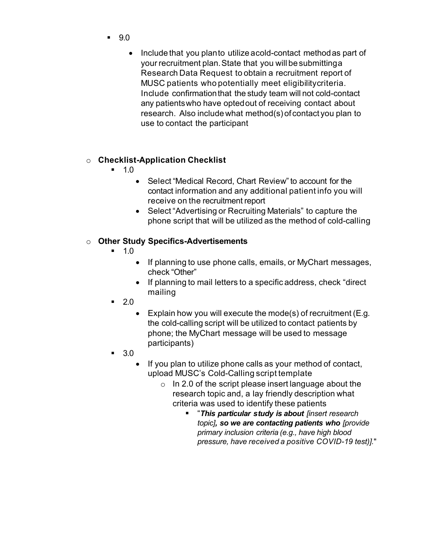- 9.0
	- Include that you plan to utilize acold-contact method as part of your recruitment plan.State that you will be submittinga Research Data Request to obtain a recruitment report of MUSC patients who potentially meet eligibilitycriteria. Include confirmationthat the study team will not cold-contact any patientswho have opted out of receiving contact about research. Also include what method(s) of contact you plan to use to contact the participant

#### o **Checklist-Application Checklist**

- 1.0
	- Select "Medical Record, Chart Review" to account for the contact information and any additional patient info you will receive on the recruitment report
	- Select "Advertising or Recruiting Materials" to capture the phone script that will be utilized as the method of cold-calling

## o **Other Study Specifics-Advertisements**

- $-1.0$ 
	- If planning to use phone calls, emails, or MyChart messages, check "Other"
	- If planning to mail letters to a specific address, check "direct mailing
- $-2.0$ 
	- Explain how you will execute the mode(s) of recruitment (E.g. the cold-calling script will be utilized to contact patients by phone; the MyChart message will be used to message participants)
- 3.0
	- If you plan to utilize phone calls as your method of contact, upload MUSC's Cold-Calling script template
		- o In 2.0 of the script please insert language about the research topic and, a lay friendly description what criteria was used to identify these patients
			- "*This particular study is about [insert research topic], so we are contacting patients who [provide primary inclusion criteria (e.g., have high blood pressure, have received a positive COVID-19 test)].*"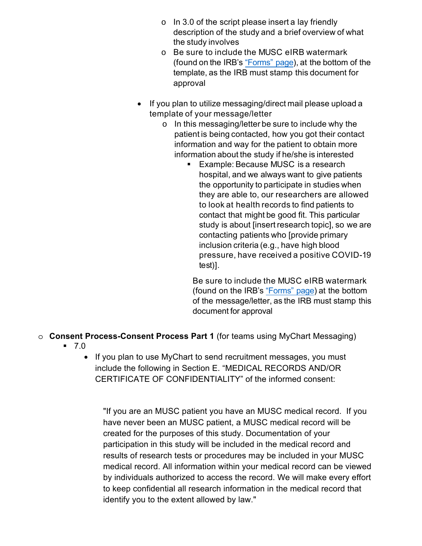- $\circ$  In 3.0 of the script please insert a lay friendly description of the study and a brief overview of what the study involves
- o Be sure to include the MUSC eIRB watermark (found on the IRB's ["Forms" page\),](https://research.musc.edu/resources/ori/irb/forms) at the bottom of the template, as the IRB must stamp this document for approval
- If you plan to utilize messaging/direct mail please upload a template of your message/letter
	- o In this messaging/letter be sure to include why the patient is being contacted, how you got their contact information and way for the patient to obtain more information about the study if he/she is interested
		- **Example: Because MUSC is a research** hospital, and we always want to give patients the opportunity to participate in studies when they are able to, our researchers are allowed to look at health records to find patients to contact that might be good fit. This particular study is about [insert research topic], so we are contacting patients who [provide primary inclusion criteria (e.g., have high blood pressure, have received a positive COVID-19 test)].

Be sure to include the MUSC eIRB watermark (found on the IRB's ["Forms" page\)](https://research.musc.edu/resources/ori/irb/forms) at the bottom of the message/letter, as the IRB must stamp this document for approval

- o **Consent Process-Consent Process Part 1** (for teams using MyChart Messaging)
	- $-7.0$ 
		- If you plan to use MyChart to send recruitment messages, you must include the following in Section E. "MEDICAL RECORDS AND/OR CERTIFICATE OF CONFIDENTIALITY" of the informed consent:

"If you are an MUSC patient you have an MUSC medical record. If you have never been an MUSC patient, a MUSC medical record will be created for the purposes of this study. Documentation of your participation in this study will be included in the medical record and results of research tests or procedures may be included in your MUSC medical record. All information within your medical record can be viewed by individuals authorized to access the record. We will make every effort to keep confidential all research information in the medical record that identify you to the extent allowed by law."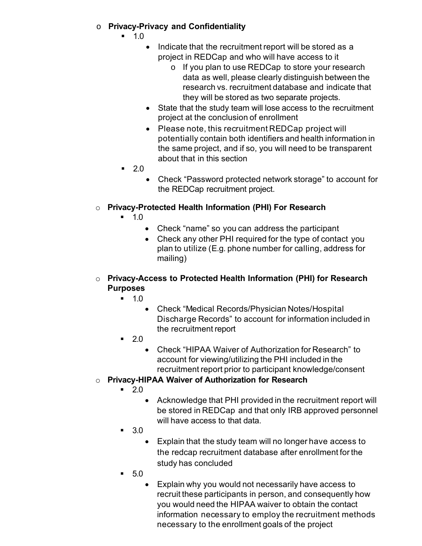## o **Privacy-Privacy and Confidentiality**

- 1.0
	- Indicate that the recruitment report will be stored as a project in REDCap and who will have access to it
		- o If you plan to use REDCap to store your research data as well, please clearly distinguish between the research vs. recruitment database and indicate that they will be stored as two separate projects.
	- State that the study team will lose access to the recruitment project at the conclusion of enrollment
	- Please note, this recruitment REDCap project will potentially contain both identifiers and health information in the same project, and if so, you will need to be transparent about that in this section
- $-2.0$ 
	- Check "Password protected network storage" to account for the REDCap recruitment project.

# o **Privacy-Protected Health Information (PHI) For Research**

- $-1.0$ 
	- Check "name" so you can address the participant
	- Check any other PHI required for the type of contact you plan to utilize (E.g. phone number for calling, address for mailing)

## o **Privacy-Access to Protected Health Information (PHI) for Research Purposes**

- $-1.0$ 
	- Check "Medical Records/Physician Notes/Hospital Discharge Records" to account for information included in the recruitment report
- $-2.0$ 
	- Check "HIPAA Waiver of Authorization for Research" to account for viewing/utilizing the PHI included in the recruitment report prior to participant knowledge/consent
- o **Privacy-HIPAA Waiver of Authorization for Research**
	- $-20$ 
		- Acknowledge that PHI provided in the recruitment report will be stored in REDCap and that only IRB approved personnel will have access to that data.
	- 3.0
		- Explain that the study team will no longer have access to the redcap recruitment database after enrollment for the study has concluded
	- 5.0
		- Explain why you would not necessarily have access to recruit these participants in person, and consequently how you would need the HIPAA waiver to obtain the contact information necessary to employ the recruitment methods necessary to the enrollment goals of the project